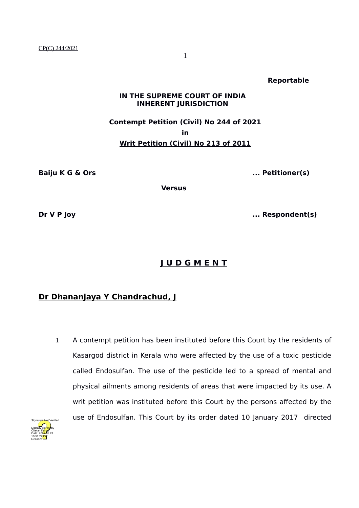**Reportable**

## **IN THE SUPREME COURT OF INDIA INHERENT JURISDICTION**

**Contempt Petition (Civil) No 244 of 2021 in Writ Petition (Civil) No 213 of 2011**

**Baiju K G & Ors ... Petitioner(s)** 

**Versus**

**Dr V P Joy ... Respondent(s)**

# **J U D G M E N T**

# **Dr Dhananjaya Y Chandrachud, J**

1 A contempt petition has been instituted before this Court by the residents of Kasargod district in Kerala who were affected by the use of a toxic pesticide called Endosulfan. The use of the pesticide led to a spread of mental and physical ailments among residents of areas that were impacted by its use. A writ petition was instituted before this Court by the persons affected by the use of Endosulfan. This Court by its order dated 10 January 2017 directed

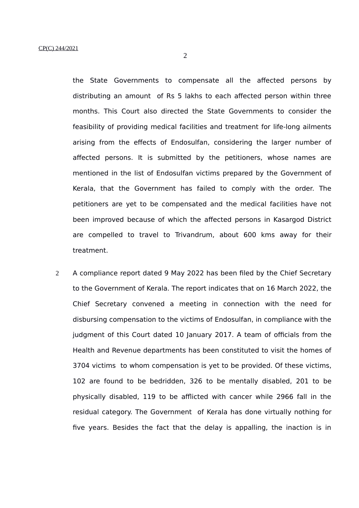the State Governments to compensate all the affected persons by distributing an amount of Rs 5 lakhs to each affected person within three months. This Court also directed the State Governments to consider the feasibility of providing medical facilities and treatment for life-long ailments arising from the effects of Endosulfan, considering the larger number of affected persons. It is submitted by the petitioners, whose names are mentioned in the list of Endosulfan victims prepared by the Government of Kerala, that the Government has failed to comply with the order. The petitioners are yet to be compensated and the medical facilities have not been improved because of which the affected persons in Kasargod District are compelled to travel to Trivandrum, about 600 kms away for their treatment.

2 A compliance report dated 9 May 2022 has been filed by the Chief Secretary to the Government of Kerala. The report indicates that on 16 March 2022, the Chief Secretary convened a meeting in connection with the need for disbursing compensation to the victims of Endosulfan, in compliance with the judgment of this Court dated 10 January 2017. A team of officials from the Health and Revenue departments has been constituted to visit the homes of 3704 victims to whom compensation is yet to be provided. Of these victims, 102 are found to be bedridden, 326 to be mentally disabled, 201 to be physically disabled, 119 to be afflicted with cancer while 2966 fall in the residual category. The Government of Kerala has done virtually nothing for five years. Besides the fact that the delay is appalling, the inaction is in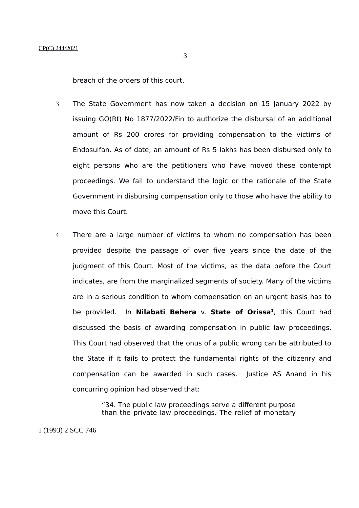breach of the orders of this court.

- 3 The State Government has now taken a decision on 15 January 2022 by issuing GO(Rt) No 1877/2022/Fin to authorize the disbursal of an additional amount of Rs 200 crores for providing compensation to the victims of Endosulfan. As of date, an amount of Rs 5 lakhs has been disbursed only to eight persons who are the petitioners who have moved these contempt proceedings. We fail to understand the logic or the rationale of the State Government in disbursing compensation only to those who have the ability to move this Court.
- 4 There are a large number of victims to whom no compensation has been provided despite the passage of over five years since the date of the judgment of this Court. Most of the victims, as the data before the Court indicates, are from the marginalized segments of society. Many of the victims are in a serious condition to whom compensation on an urgent basis has to be provided. In **Nilabati Behera** v. **State of Orissa[1](#page-2-0)** , this Court had discussed the basis of awarding compensation in public law proceedings. This Court had observed that the onus of a public wrong can be attributed to the State if it fails to protect the fundamental rights of the citizenry and compensation can be awarded in such cases. Justice AS Anand in his concurring opinion had observed that:

"34. The public law proceedings serve a different purpose than the private law proceedings. The relief of monetary

<span id="page-2-0"></span>1 (1993) 2 SCC 746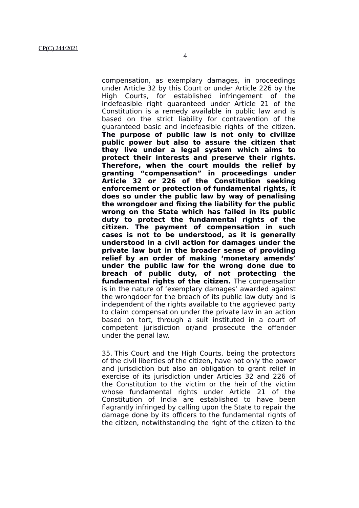compensation, as exemplary damages, in proceedings under Article 32 by this Court or under Article 226 by the High Courts, for established infringement of the indefeasible right guaranteed under Article 21 of the Constitution is a remedy available in public law and is based on the strict liability for contravention of the guaranteed basic and indefeasible rights of the citizen. **The purpose of public law is not only to civilize public power but also to assure the citizen that they live under a legal system which aims to protect their interests and preserve their rights. Therefore, when the court moulds the relief by granting "compensation" in proceedings under Article 32 or 226 of the Constitution seeking enforcement or protection of fundamental rights, it does so under the public law by way of penalising the wrongdoer and fixing the liability for the public wrong on the State which has failed in its public duty to protect the fundamental rights of the citizen. The payment of compensation in such cases is not to be understood, as it is generally understood in a civil action for damages under the private law but in the broader sense of providing relief by an order of making 'monetary amends' under the public law for the wrong done due to breach of public duty, of not protecting the fundamental rights of the citizen.** The compensation is in the nature of 'exemplary damages' awarded against the wrongdoer for the breach of its public law duty and is independent of the rights available to the aggrieved party to claim compensation under the private law in an action based on tort, through a suit instituted in a court of competent jurisdiction or/and prosecute the offender under the penal law.

35. This Court and the High Courts, being the protectors of the civil liberties of the citizen, have not only the power and jurisdiction but also an obligation to grant relief in exercise of its jurisdiction under Articles 32 and 226 of the Constitution to the victim or the heir of the victim whose fundamental rights under Article 21 of the Constitution of India are established to have been flagrantly infringed by calling upon the State to repair the damage done by its officers to the fundamental rights of the citizen, notwithstanding the right of the citizen to the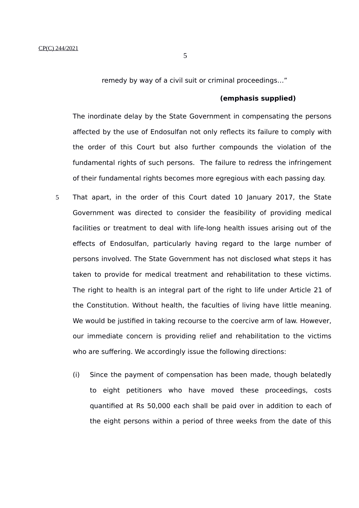remedy by way of a civil suit or criminal proceedings…"

#### **(emphasis supplied)**

The inordinate delay by the State Government in compensating the persons affected by the use of Endosulfan not only reflects its failure to comply with the order of this Court but also further compounds the violation of the fundamental rights of such persons. The failure to redress the infringement of their fundamental rights becomes more egregious with each passing day.

- 5 That apart, in the order of this Court dated 10 January 2017, the State Government was directed to consider the feasibility of providing medical facilities or treatment to deal with life-long health issues arising out of the effects of Endosulfan, particularly having regard to the large number of persons involved. The State Government has not disclosed what steps it has taken to provide for medical treatment and rehabilitation to these victims. The right to health is an integral part of the right to life under Article 21 of the Constitution. Without health, the faculties of living have little meaning. We would be justified in taking recourse to the coercive arm of law. However, our immediate concern is providing relief and rehabilitation to the victims who are suffering. We accordingly issue the following directions:
	- (i) Since the payment of compensation has been made, though belatedly to eight petitioners who have moved these proceedings, costs quantified at Rs 50,000 each shall be paid over in addition to each of the eight persons within a period of three weeks from the date of this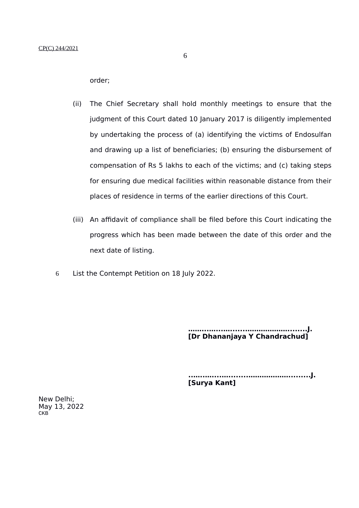order;

- (ii) The Chief Secretary shall hold monthly meetings to ensure that the judgment of this Court dated 10 January 2017 is diligently implemented by undertaking the process of (a) identifying the victims of Endosulfan and drawing up a list of beneficiaries; (b) ensuring the disbursement of compensation of Rs 5 lakhs to each of the victims; and (c) taking steps for ensuring due medical facilities within reasonable distance from their places of residence in terms of the earlier directions of this Court.
- (iii) An affidavit of compliance shall be filed before this Court indicating the progress which has been made between the date of this order and the next date of listing.
- 6 List the Contempt Petition on 18 July 2022.

### **……...…...….......………………........J. [Dr Dhananjaya Y Chandrachud]**

**..…..…....…........……………….........J. [Surya Kant]**

New Delhi; May 13, 2022 C<sub>KB</sub>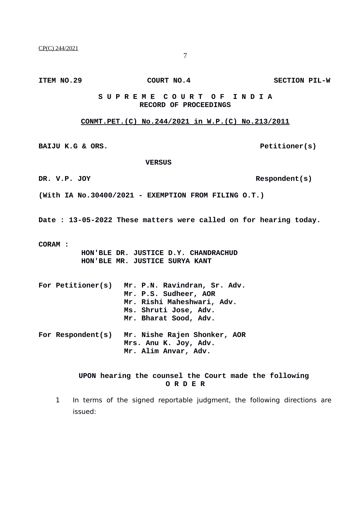**ITEM NO.29 COURT NO.4 SECTION PIL-W**

## **S U P R E M E C O U R T O F I N D I A RECORD OF PROCEEDINGS**

### **CONMT.PET.(C) No.244/2021 in W.P.(C) No.213/2011**

**BAIJU K.G & ORS.** Petitioner(s)

**VERSUS**

**DR. V.P. JOY Respondent(s)**

**(With IA No.30400/2021 - EXEMPTION FROM FILING O.T.)**

**Date : 13-05-2022 These matters were called on for hearing today.**

**CORAM :** 

**HON'BLE DR. JUSTICE D.Y. CHANDRACHUD HON'BLE MR. JUSTICE SURYA KANT**

- **For Petitioner(s) Mr. P.N. Ravindran, Sr. Adv. Mr. P.S. Sudheer, AOR Mr. Rishi Maheshwari, Adv. Ms. Shruti Jose, Adv. Mr. Bharat Sood, Adv. For Respondent(s) Mr. Nishe Rajen Shonker, AOR**
- **Mrs. Anu K. Joy, Adv. Mr. Alim Anvar, Adv.**

**UPON hearing the counsel the Court made the following O R D E R**

1 In terms of the signed reportable judgment, the following directions are issued: